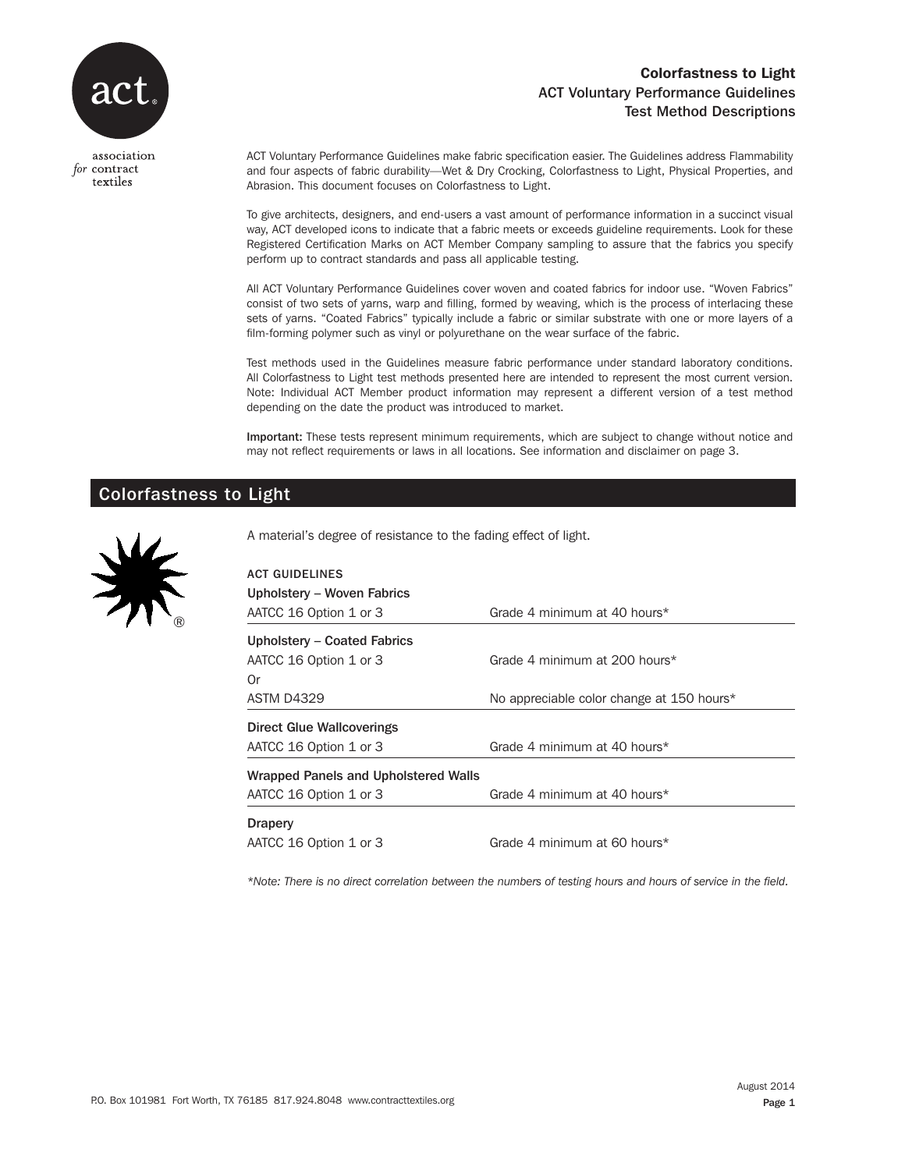

## Colorfastness to Light ACT Voluntary Performance Guidelines Test Method Descriptions

association for contract textiles

ACT Voluntary Performance Guidelines make fabric specification easier. The Guidelines address Flammability and four aspects of fabric durability—Wet & Dry Crocking, Colorfastness to Light, Physical Properties, and Abrasion. This document focuses on Colorfastness to Light.

To give architects, designers, and end-users a vast amount of performance information in a succinct visual way, ACT developed icons to indicate that a fabric meets or exceeds guideline requirements. Look for these Registered Certification Marks on ACT Member Company sampling to assure that the fabrics you specify perform up to contract standards and pass all applicable testing.

All ACT Voluntary Performance Guidelines cover woven and coated fabrics for indoor use. "Woven Fabrics" consist of two sets of yarns, warp and filling, formed by weaving, which is the process of interlacing these sets of yarns. "Coated Fabrics" typically include a fabric or similar substrate with one or more layers of a film-forming polymer such as vinyl or polyurethane on the wear surface of the fabric.

Test methods used in the Guidelines measure fabric performance under standard laboratory conditions. All Colorfastness to Light test methods presented here are intended to represent the most current version. Note: Individual ACT Member product information may represent a different version of a test method depending on the date the product was introduced to market.

Important: These tests represent minimum requirements, which are subject to change without notice and may not reflect requirements or laws in all locations. See information and disclaimer on page 3.

# Colorfastness to Light



A material's degree of resistance to the fading effect of light.

| <b>ACT GUIDELINES</b><br>Upholstery - Woven Fabrics |                                           |
|-----------------------------------------------------|-------------------------------------------|
| AATCC 16 Option 1 or 3                              | Grade 4 minimum at 40 hours*              |
| Upholstery - Coated Fabrics                         |                                           |
| AATCC 16 Option 1 or 3                              | Grade 4 minimum at 200 hours*             |
| 0r                                                  |                                           |
| ASTM D4329                                          | No appreciable color change at 150 hours* |
| Direct Glue Wallcoverings                           |                                           |
| AATCC 16 Option 1 or 3                              | Grade 4 minimum at 40 hours*              |
| Wrapped Panels and Upholstered Walls                |                                           |
| AATCC 16 Option 1 or 3                              | Grade 4 minimum at 40 hours*              |
| <b>Drapery</b>                                      |                                           |
| AATCC 16 Option 1 or 3                              | Grade 4 minimum at 60 hours*              |

*\*Note: There is no direct correlation between the numbers of testing hours and hours of service in the field.*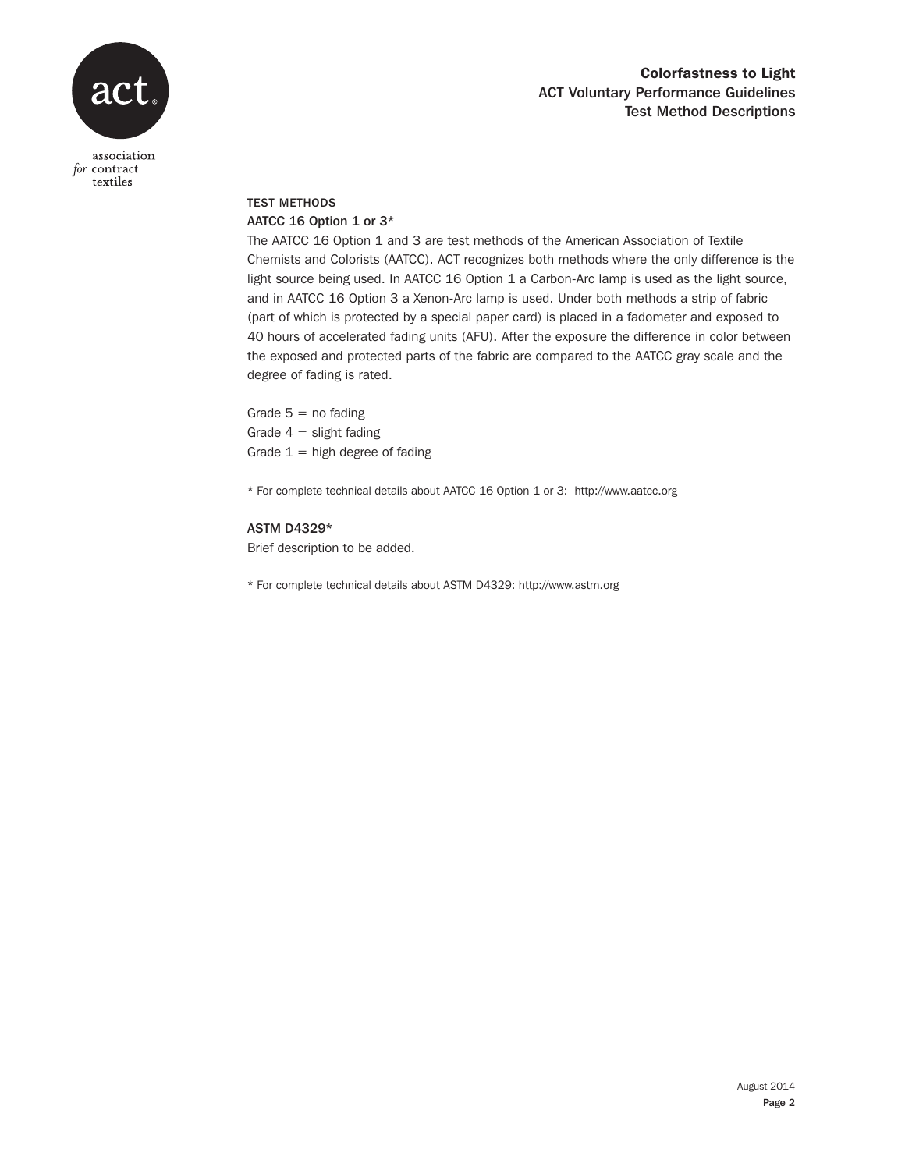

## Colorfastness to Light ACT Voluntary Performance Guidelines Test Method Descriptions

#### association for contract textiles

## TEST METHODS AATCC 16 Option 1 or 3\*

The AATCC 16 Option 1 and 3 are test methods of the American Association of Textile Chemists and Colorists (AATCC). ACT recognizes both methods where the only difference is the light source being used. In AATCC 16 Option 1 a Carbon-Arc lamp is used as the light source, and in AATCC 16 Option 3 a Xenon-Arc lamp is used. Under both methods a strip of fabric (part of which is protected by a special paper card) is placed in a fadometer and exposed to 40 hours of accelerated fading units (AFU). After the exposure the difference in color between the exposed and protected parts of the fabric are compared to the AATCC gray scale and the degree of fading is rated.

Grade  $5 =$  no fading Grade  $4 =$  slight fading Grade  $1 =$  high degree of fading

\* For complete technical details about AATCC 16 Option 1 or 3: http://www.aatcc.org

#### ASTM D4329\*

Brief description to be added.

\* For complete technical details about ASTM D4329: http://www.astm.org